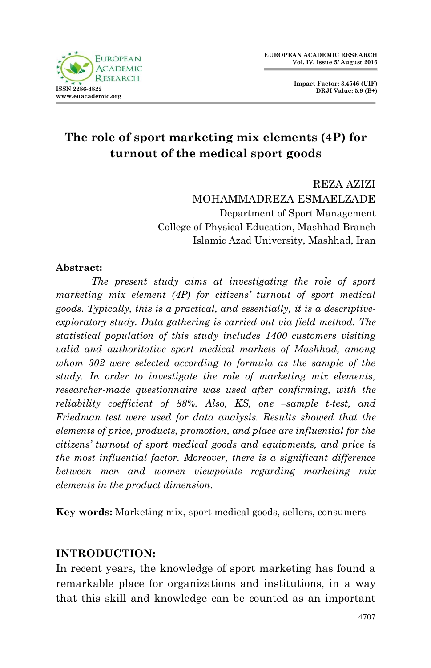

**Impact Factor: 3.4546 (UIF) DRJI Value: 5.9 (B+)**

# **The role of sport marketing mix elements (4P) for turnout of the medical sport goods**

REZA AZIZI MOHAMMADREZA ESMAELZADE Department of Sport Management College of Physical Education, Mashhad Branch Islamic Azad University, Mashhad, Iran

#### **Abstract:**

*The present study aims at investigating the role of sport marketing mix element (4P) for citizens' turnout of sport medical goods. Typically, this is a practical, and essentially, it is a descriptiveexploratory study. Data gathering is carried out via field method. The statistical population of this study includes 1400 customers visiting valid and authoritative sport medical markets of Mashhad, among whom 302 were selected according to formula as the sample of the study. In order to investigate the role of marketing mix elements, researcher-made questionnaire was used after confirming, with the reliability coefficient of 88%. Also, KS, one –sample t-test, and Friedman test were used for data analysis. Results showed that the elements of price, products, promotion, and place are influential for the citizens' turnout of sport medical goods and equipments, and price is the most influential factor. Moreover, there is a significant difference between men and women viewpoints regarding marketing mix elements in the product dimension.* 

**Key words:** Marketing mix, sport medical goods, sellers, consumers

#### **INTRODUCTION:**

In recent years, the knowledge of sport marketing has found a remarkable place for organizations and institutions, in a way that this skill and knowledge can be counted as an important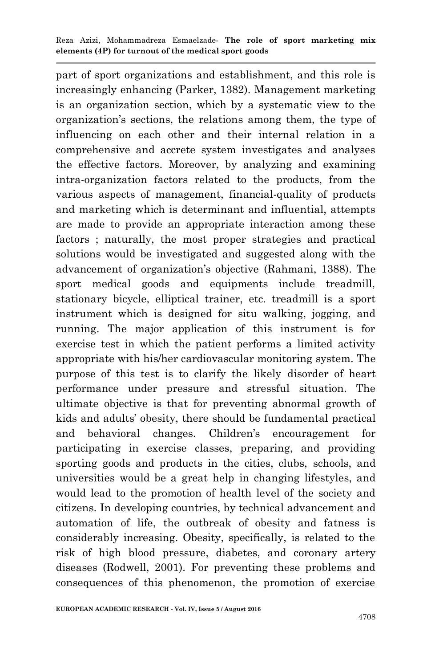part of sport organizations and establishment, and this role is increasingly enhancing (Parker, 1382). Management marketing is an organization section, which by a systematic view to the organization's sections, the relations among them, the type of influencing on each other and their internal relation in a comprehensive and accrete system investigates and analyses the effective factors. Moreover, by analyzing and examining intra-organization factors related to the products, from the various aspects of management, financial-quality of products and marketing which is determinant and influential, attempts are made to provide an appropriate interaction among these factors ; naturally, the most proper strategies and practical solutions would be investigated and suggested along with the advancement of organization's objective (Rahmani, 1388). The sport medical goods and equipments include treadmill, stationary bicycle, elliptical trainer, etc. treadmill is a sport instrument which is designed for situ walking, jogging, and running. The major application of this instrument is for exercise test in which the patient performs a limited activity appropriate with his/her cardiovascular monitoring system. The purpose of this test is to clarify the likely disorder of heart performance under pressure and stressful situation. The ultimate objective is that for preventing abnormal growth of kids and adults' obesity, there should be fundamental practical and behavioral changes. Children's encouragement for participating in exercise classes, preparing, and providing sporting goods and products in the cities, clubs, schools, and universities would be a great help in changing lifestyles, and would lead to the promotion of health level of the society and citizens. In developing countries, by technical advancement and automation of life, the outbreak of obesity and fatness is considerably increasing. Obesity, specifically, is related to the risk of high blood pressure, diabetes, and coronary artery diseases (Rodwell, 2001). For preventing these problems and consequences of this phenomenon, the promotion of exercise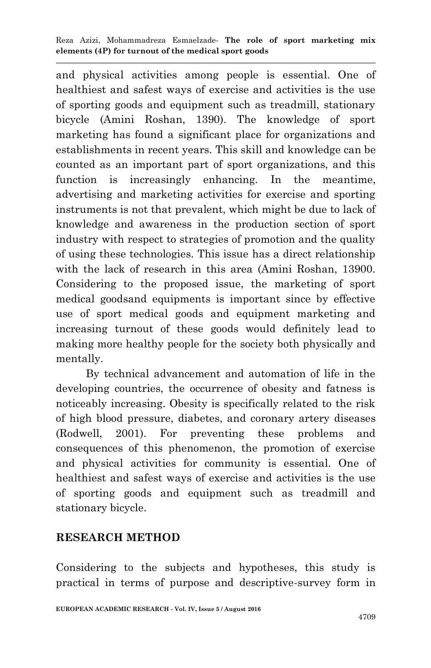and physical activities among people is essential. One of healthiest and safest ways of exercise and activities is the use of sporting goods and equipment such as treadmill, stationary bicycle (Amini Roshan, 1390). The knowledge of sport marketing has found a significant place for organizations and establishments in recent years. This skill and knowledge can be counted as an important part of sport organizations, and this function is increasingly enhancing. In the meantime, advertising and marketing activities for exercise and sporting instruments is not that prevalent, which might be due to lack of knowledge and awareness in the production section of sport industry with respect to strategies of promotion and the quality of using these technologies. This issue has a direct relationship with the lack of research in this area (Amini Roshan, 13900. Considering to the proposed issue, the marketing of sport medical goodsand equipments is important since by effective use of sport medical goods and equipment marketing and increasing turnout of these goods would definitely lead to making more healthy people for the society both physically and mentally.

 By technical advancement and automation of life in the developing countries, the occurrence of obesity and fatness is noticeably increasing. Obesity is specifically related to the risk of high blood pressure, diabetes, and coronary artery diseases (Rodwell, 2001). For preventing these problems and consequences of this phenomenon, the promotion of exercise and physical activities for community is essential. One of healthiest and safest ways of exercise and activities is the use of sporting goods and equipment such as treadmill and stationary bicycle.

## **RESEARCH METHOD**

Considering to the subjects and hypotheses, this study is practical in terms of purpose and descriptive-survey form in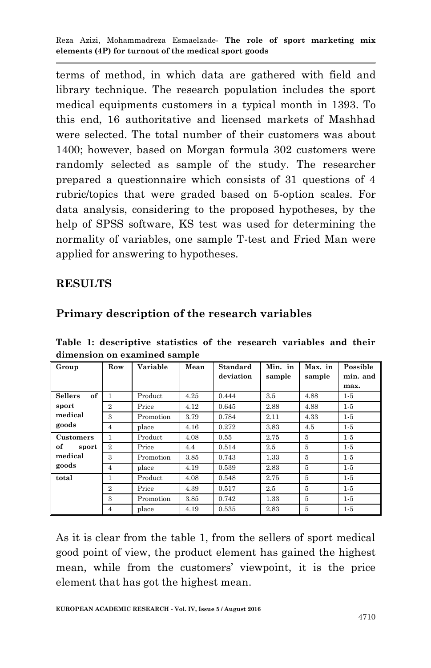terms of method, in which data are gathered with field and library technique. The research population includes the sport medical equipments customers in a typical month in 1393. To this end, 16 authoritative and licensed markets of Mashhad were selected. The total number of their customers was about 1400; however, based on Morgan formula 302 customers were randomly selected as sample of the study. The researcher prepared a questionnaire which consists of 31 questions of 4 rubric/topics that were graded based on 5-option scales. For data analysis, considering to the proposed hypotheses, by the help of SPSS software, KS test was used for determining the normality of variables, one sample T-test and Fried Man were applied for answering to hypotheses.

## **RESULTS**

| Table 1: descriptive statistics of the research variables and their |  |  |  |  |
|---------------------------------------------------------------------|--|--|--|--|
| dimension on examined sample                                        |  |  |  |  |

**Primary description of the research variables**

| Group                | Row            | Variable  | Mean | Standard  | Min. in | Max. in        | Possible |
|----------------------|----------------|-----------|------|-----------|---------|----------------|----------|
|                      |                |           |      | deviation | sample  |                | min. and |
|                      |                |           |      |           |         | sample         |          |
|                      |                |           |      |           |         |                | max.     |
| of<br><b>Sellers</b> | 1              | Product   | 4.25 | 0.444     | 3.5     | 4.88           | $1-5$    |
| sport                | $\overline{2}$ | Price     | 4.12 | 0.645     | 2.88    | 4.88           | $1-5$    |
| medical              | 3              | Promotion | 3.79 | 0.784     | 2.11    | 4.33           | $1-5$    |
| goods                | $\overline{4}$ | place     | 4.16 | 0.272     | 3.83    | 4.5            | $1-5$    |
| Customers            | 1              | Product   | 4.08 | 0.55      | 2.75    | 5              | $1-5$    |
| of<br>sport          | $\overline{2}$ | Price     | 4.4  | 0.514     | 2.5     | $\overline{5}$ | $1-5$    |
| medical              | 3              | Promotion | 3.85 | 0.743     | 1.33    | 5              | $1-5$    |
| goods                | $\overline{4}$ | place     | 4.19 | 0.539     | 2.83    | $\overline{5}$ | $1-5$    |
| total                | 1              | Product   | 4.08 | 0.548     | 2.75    | $\overline{5}$ | $1-5$    |
|                      | $\overline{2}$ | Price     | 4.39 | 0.517     | 2.5     | 5              | $1-5$    |
|                      | 3              | Promotion | 3.85 | 0.742     | 1.33    | $\overline{5}$ | $1-5$    |
|                      | $\overline{4}$ | place     | 4.19 | 0.535     | 2.83    | $\overline{5}$ | $1-5$    |

As it is clear from the table 1, from the sellers of sport medical good point of view, the product element has gained the highest mean, while from the customers' viewpoint, it is the price element that has got the highest mean.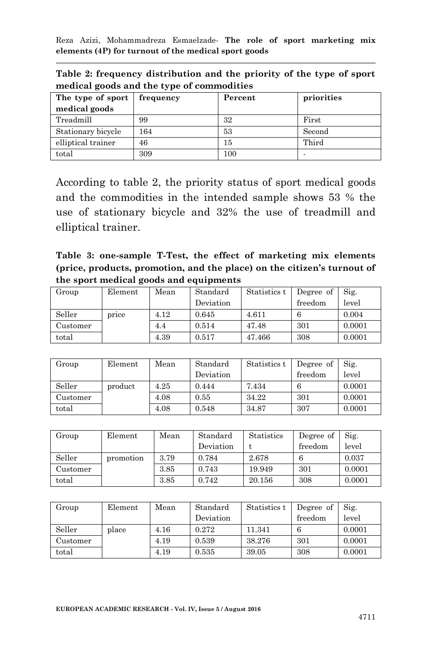| The type of sport  | frequency | Percent | priorities |  |  |  |  |
|--------------------|-----------|---------|------------|--|--|--|--|
| medical goods      |           |         |            |  |  |  |  |
| Treadmill          | 99        | 32      | First      |  |  |  |  |
| Stationary bicycle | 164       | 53      | Second     |  |  |  |  |
| elliptical trainer | 46        | 15      | Third      |  |  |  |  |
| total              | 309       | 100     |            |  |  |  |  |

**Table 2: frequency distribution and the priority of the type of sport medical goods and the type of commodities**

According to table 2, the priority status of sport medical goods and the commodities in the intended sample shows 53 % the use of stationary bicycle and 32% the use of treadmill and elliptical trainer.

**Table 3: one-sample T-Test, the effect of marketing mix elements (price, products, promotion, and the place) on the citizen's turnout of the sport medical goods and equipments**

| Group    | Element | Mean | Standard  | Statistics t | Degree of | Sig.   |
|----------|---------|------|-----------|--------------|-----------|--------|
|          |         |      | Deviation |              | freedom   | level  |
| Seller   | price   | 4.12 | 0.645     | 4.611        |           | 0.004  |
| Customer |         | 4.4  | 0.514     | 47.48        | 301       | 0.0001 |
| total    |         | 4.39 | 0.517     | 47.466       | 308       | 0.0001 |

| Group    | Element | Mean | Standard  | Statistics t | Degree of | Sig.   |
|----------|---------|------|-----------|--------------|-----------|--------|
|          |         |      | Deviation |              | freedom   | level  |
| Seller   | product | 4.25 | 0.444     | 7.434        | 6         | 0.0001 |
| Customer |         | 4.08 | 0.55      | 34.22        | 301       | 0.0001 |
| total    |         | 4.08 | 0.548     | 34.87        | 307       | 0.0001 |

| Group    | Element   | Mean | Standard  | <b>Statistics</b> | Degree of | Sig.   |
|----------|-----------|------|-----------|-------------------|-----------|--------|
|          |           |      | Deviation |                   | freedom   | level  |
| Seller   | promotion | 3.79 | 0.784     | 2.678             |           | 0.037  |
| Customer |           | 3.85 | 0.743     | 19.949            | 301       | 0.0001 |
| total    |           | 3.85 | 0.742     | 20.156            | 308       | 0.0001 |

| Group    | Element | Mean | Standard  | Statistics t | Degree of | $\mathrm{Sig.}$ |
|----------|---------|------|-----------|--------------|-----------|-----------------|
|          |         |      | Deviation |              | freedom   | level           |
| Seller   | place   | 4.16 | 0.272     | 11.341       | 6         | 0.0001          |
| Customer |         | 4.19 | 0.539     | 38.276       | 301       | 0.0001          |
| total    |         | 4.19 | 0.535     | 39.05        | 308       | 0.0001          |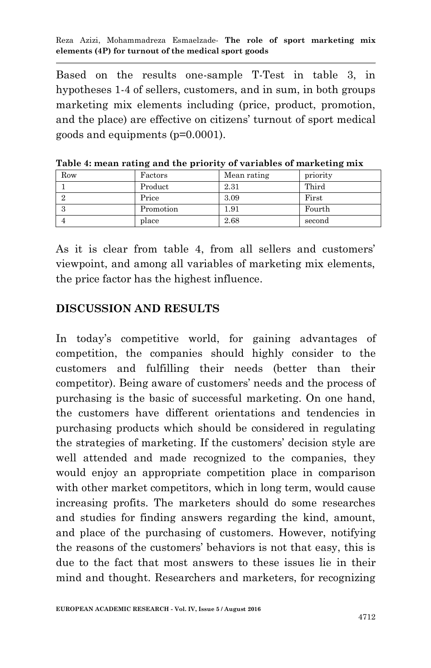Based on the results one-sample T-Test in table 3, in hypotheses 1-4 of sellers, customers, and in sum, in both groups marketing mix elements including (price, product, promotion, and the place) are effective on citizens' turnout of sport medical goods and equipments (p=0.0001).

| Row | Factors   | Mean rating | priority |
|-----|-----------|-------------|----------|
|     | Product   | 2.31        | Third    |
|     | Price     | 3.09        | First    |
|     | Promotion | $1.91\,$    | Fourth   |
|     | place     | 2.68        | second   |

**Table 4: mean rating and the priority of variables of marketing mix**

As it is clear from table 4, from all sellers and customers' viewpoint, and among all variables of marketing mix elements, the price factor has the highest influence.

#### **DISCUSSION AND RESULTS**

In today's competitive world, for gaining advantages of competition, the companies should highly consider to the customers and fulfilling their needs (better than their competitor). Being aware of customers' needs and the process of purchasing is the basic of successful marketing. On one hand, the customers have different orientations and tendencies in purchasing products which should be considered in regulating the strategies of marketing. If the customers' decision style are well attended and made recognized to the companies, they would enjoy an appropriate competition place in comparison with other market competitors, which in long term, would cause increasing profits. The marketers should do some researches and studies for finding answers regarding the kind, amount, and place of the purchasing of customers. However, notifying the reasons of the customers' behaviors is not that easy, this is due to the fact that most answers to these issues lie in their mind and thought. Researchers and marketers, for recognizing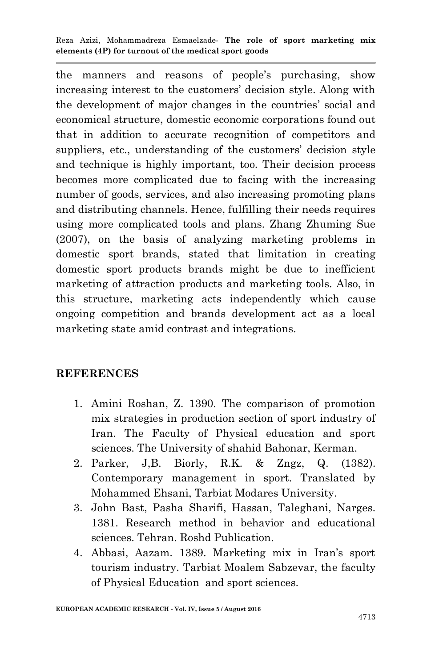the manners and reasons of people's purchasing, show increasing interest to the customers' decision style. Along with the development of major changes in the countries' social and economical structure, domestic economic corporations found out that in addition to accurate recognition of competitors and suppliers, etc., understanding of the customers' decision style and technique is highly important, too. Their decision process becomes more complicated due to facing with the increasing number of goods, services, and also increasing promoting plans and distributing channels. Hence, fulfilling their needs requires using more complicated tools and plans. Zhang Zhuming Sue (2007), on the basis of analyzing marketing problems in domestic sport brands, stated that limitation in creating domestic sport products brands might be due to inefficient marketing of attraction products and marketing tools. Also, in this structure, marketing acts independently which cause ongoing competition and brands development act as a local marketing state amid contrast and integrations.

## **REFERENCES**

- 1. Amini Roshan, Z. 1390. The comparison of promotion mix strategies in production section of sport industry of Iran. The Faculty of Physical education and sport sciences. The University of shahid Bahonar, Kerman.
- 2. Parker, J,B. Biorly, R.K. & Zngz, Q. (1382). Contemporary management in sport. Translated by Mohammed Ehsani, Tarbiat Modares University.
- 3. John Bast, Pasha Sharifi, Hassan, Taleghani, Narges. 1381. Research method in behavior and educational sciences. Tehran. Roshd Publication.
- 4. Abbasi, Aazam. 1389. Marketing mix in Iran's sport tourism industry. Tarbiat Moalem Sabzevar, the faculty of Physical Education and sport sciences.